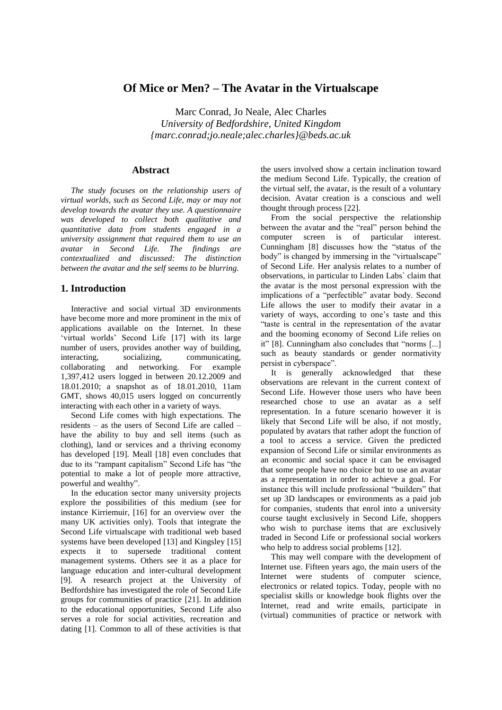# **Of Mice or Men? – The Avatar in the Virtualscape**

Marc Conrad, Jo Neale, Alec Charles *University of Bedfordshire, United Kingdom {marc.conrad;jo.neale;alec.charles}@beds.ac.uk*

## **Abstract**

*The study focuses on the relationship users of virtual worlds, such as Second Life, may or may not develop towards the avatar they use. A questionnaire was developed to collect both qualitative and quantitative data from students engaged in a university assignment that required them to use an avatar in Second Life. The findings are contextualized and discussed: The distinction between the avatar and the self seems to be blurring.* 

## **1. Introduction**

Interactive and social virtual 3D environments have become more and more prominent in the mix of applications available on the Internet. In these 'virtual worlds' Second Life [17] with its large number of users, provides another way of building, interacting, socializing, communicating, collaborating and networking. For example 1,397,412 users logged in between 20.12.2009 and 18.01.2010; a snapshot as of 18.01.2010, 11am GMT, shows 40,015 users logged on concurrently interacting with each other in a variety of ways.

Second Life comes with high expectations. The residents – as the users of Second Life are called – have the ability to buy and sell items (such as clothing), land or services and a thriving economy has developed [19]. Meall [18] even concludes that due to its "rampant capitalism" Second Life has "the potential to make a lot of people more attractive, powerful and wealthy".

In the education sector many university projects explore the possibilities of this medium (see for instance Kirriemuir, [16] for an overview over the many UK activities only). Tools that integrate the Second Life virtualscape with traditional web based systems have been developed [13] and Kingsley [15] expects it to supersede traditional content management systems. Others see it as a place for language education and inter-cultural development [9]. A research project at the University of Bedfordshire has investigated the role of Second Life groups for communities of practice [21]. In addition to the educational opportunities, Second Life also serves a role for social activities, recreation and dating [1]. Common to all of these activities is that

the users involved show a certain inclination toward the medium Second Life. Typically, the creation of the virtual self, the avatar, is the result of a voluntary decision. Avatar creation is a conscious and well thought through process [22].

From the social perspective the relationship between the avatar and the "real" person behind the computer screen is of particular interest. Cunningham [8] discusses how the "status of the body" is changed by immersing in the "virtualscape" of Second Life. Her analysis relates to a number of observations, in particular to Linden Labs` claim that the avatar is the most personal expression with the implications of a "perfectible" avatar body. Second Life allows the user to modify their avatar in a variety of ways, according to one's taste and this "taste is central in the representation of the avatar and the booming economy of Second Life relies on it" [8]. Cunningham also concludes that "norms [...] such as beauty standards or gender normativity persist in cyberspace".

It is generally acknowledged that these observations are relevant in the current context of Second Life. However those users who have been researched chose to use an avatar as a self representation. In a future scenario however it is likely that Second Life will be also, if not mostly, populated by avatars that rather adopt the function of a tool to access a service. Given the predicted expansion of Second Life or similar environments as an economic and social space it can be envisaged that some people have no choice but to use an avatar as a representation in order to achieve a goal. For instance this will include professional "builders" that set up 3D landscapes or environments as a paid job for companies, students that enrol into a university course taught exclusively in Second Life, shoppers who wish to purchase items that are exclusively traded in Second Life or professional social workers who help to address social problems [12].

This may well compare with the development of Internet use. Fifteen years ago, the main users of the Internet were students of computer science, electronics or related topics. Today, people with no specialist skills or knowledge book flights over the Internet, read and write emails, participate in (virtual) communities of practice or network with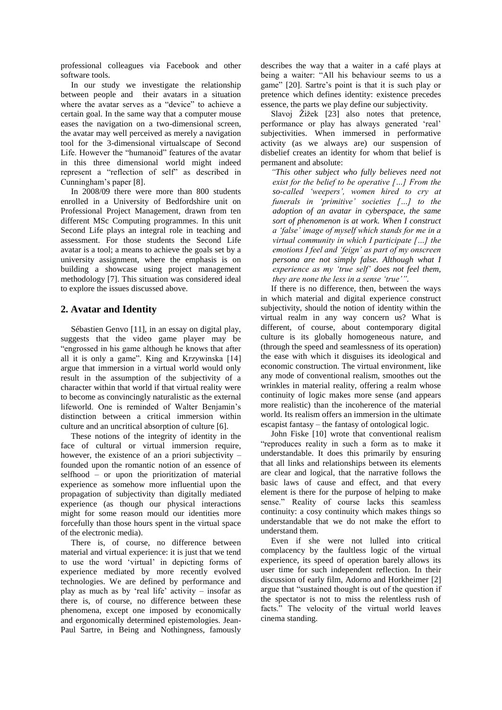professional colleagues via Facebook and other software tools.

In our study we investigate the relationship between people and their avatars in a situation where the avatar serves as a "device" to achieve a certain goal. In the same way that a computer mouse eases the navigation on a two-dimensional screen, the avatar may well perceived as merely a navigation tool for the 3-dimensional virtualscape of Second Life. However the "humanoid" features of the avatar in this three dimensional world might indeed represent a "reflection of self" as described in Cunningham's paper [8].

In 2008/09 there were more than 800 students enrolled in a University of Bedfordshire unit on Professional Project Management, drawn from ten different MSc Computing programmes. In this unit Second Life plays an integral role in teaching and assessment. For those students the Second Life avatar is a tool; a means to achieve the goals set by a university assignment, where the emphasis is on building a showcase using project management methodology [7]. This situation was considered ideal to explore the issues discussed above.

# **2. Avatar and Identity**

Sébastien Genvo [11], in an essay on digital play, suggests that the video game player may be "engrossed in his game although he knows that after all it is only a game". King and Krzywinska [14] argue that immersion in a virtual world would only result in the assumption of the subjectivity of a character within that world if that virtual reality were to become as convincingly naturalistic as the external lifeworld. One is reminded of Walter Benjamin's distinction between a critical immersion within culture and an uncritical absorption of culture [6].

These notions of the integrity of identity in the face of cultural or virtual immersion require, however, the existence of an a priori subjectivity – founded upon the romantic notion of an essence of selfhood – or upon the prioritization of material experience as somehow more influential upon the propagation of subjectivity than digitally mediated experience (as though our physical interactions might for some reason mould our identities more forcefully than those hours spent in the virtual space of the electronic media).

There is, of course, no difference between material and virtual experience: it is just that we tend to use the word 'virtual' in depicting forms of experience mediated by more recently evolved technologies. We are defined by performance and play as much as by 'real life' activity – insofar as there is, of course, no difference between these phenomena, except one imposed by economically and ergonomically determined epistemologies. Jean-Paul Sartre, in Being and Nothingness, famously

describes the way that a waiter in a café plays at being a waiter: "All his behaviour seems to us a game" [20]. Sartre's point is that it is such play or pretence which defines identity: existence precedes essence, the parts we play define our subjectivity.

Slavoj Žižek [23] also notes that pretence, performance or play has always generated 'real' subjectivities. When immersed in performative activity (as we always are) our suspension of disbelief creates an identity for whom that belief is permanent and absolute:

*"This other subject who fully believes need not exist for the belief to be operative […] From the so-called 'weepers', women hired to cry at funerals in 'primitive' societies […] to the adoption of an avatar in cyberspace, the same sort of phenomenon is at work. When I construct a 'false' image of myself which stands for me in a virtual community in which I participate […] the emotions I feel and 'feign' as part of my onscreen persona are not simply false. Although what I experience as my 'true self' does not feel them, they are none the less in a sense 'true'".*

If there is no difference, then, between the ways in which material and digital experience construct subjectivity, should the notion of identity within the virtual realm in any way concern us? What is different, of course, about contemporary digital culture is its globally homogeneous nature, and (through the speed and seamlessness of its operation) the ease with which it disguises its ideological and economic construction. The virtual environment, like any mode of conventional realism, smoothes out the wrinkles in material reality, offering a realm whose continuity of logic makes more sense (and appears more realistic) than the incoherence of the material world. Its realism offers an immersion in the ultimate escapist fantasy – the fantasy of ontological logic.

John Fiske [10] wrote that conventional realism "reproduces reality in such a form as to make it understandable. It does this primarily by ensuring that all links and relationships between its elements are clear and logical, that the narrative follows the basic laws of cause and effect, and that every element is there for the purpose of helping to make sense." Reality of course lacks this seamless continuity: a cosy continuity which makes things so understandable that we do not make the effort to understand them.

Even if she were not lulled into critical complacency by the faultless logic of the virtual experience, its speed of operation barely allows its user time for such independent reflection. In their discussion of early film, Adorno and Horkheimer [2] argue that "sustained thought is out of the question if the spectator is not to miss the relentless rush of facts." The velocity of the virtual world leaves cinema standing.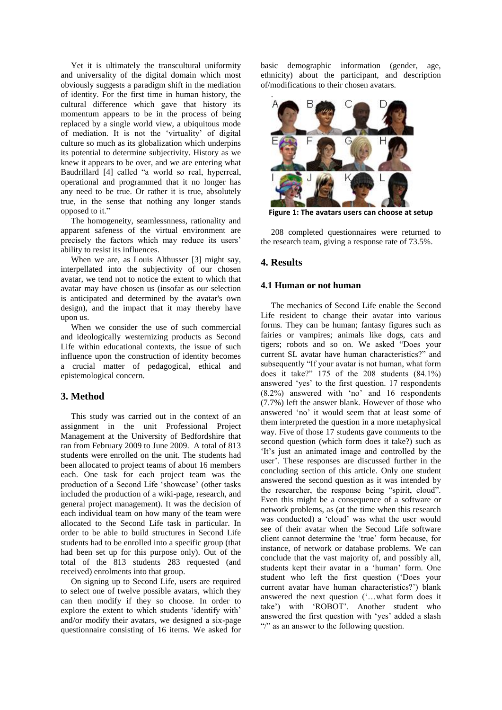Yet it is ultimately the transcultural uniformity and universality of the digital domain which most obviously suggests a paradigm shift in the mediation of identity. For the first time in human history, the cultural difference which gave that history its momentum appears to be in the process of being replaced by a single world view, a ubiquitous mode of mediation. It is not the 'virtuality' of digital culture so much as its globalization which underpins its potential to determine subjectivity. History as we knew it appears to be over, and we are entering what Baudrillard [4] called "a world so real, hyperreal, operational and programmed that it no longer has any need to be true. Or rather it is true, absolutely true, in the sense that nothing any longer stands opposed to it."

The homogeneity, seamlessnness, rationality and apparent safeness of the virtual environment are precisely the factors which may reduce its users' ability to resist its influences.

When we are, as Louis Althusser [3] might say, interpellated into the subjectivity of our chosen avatar, we tend not to notice the extent to which that avatar may have chosen us (insofar as our selection is anticipated and determined by the avatar's own design), and the impact that it may thereby have upon us.

When we consider the use of such commercial and ideologically westernizing products as Second Life within educational contexts, the issue of such influence upon the construction of identity becomes a crucial matter of pedagogical, ethical and epistemological concern.

## **3. Method**

This study was carried out in the context of an assignment in the unit Professional Project Management at the University of Bedfordshire that ran from February 2009 to June 2009. A total of 813 students were enrolled on the unit. The students had been allocated to project teams of about 16 members each. One task for each project team was the production of a Second Life 'showcase' (other tasks included the production of a wiki-page, research, and general project management). It was the decision of each individual team on how many of the team were allocated to the Second Life task in particular. In order to be able to build structures in Second Life students had to be enrolled into a specific group (that had been set up for this purpose only). Out of the total of the 813 students 283 requested (and received) enrolments into that group.

On signing up to Second Life, users are required to select one of twelve possible avatars, which they can then modify if they so choose. In order to explore the extent to which students 'identify with' and/or modify their avatars, we designed a six-page questionnaire consisting of 16 items. We asked for basic demographic information (gender, age, ethnicity) about the participant, and description of/modifications to their chosen avatars.



**Figure 1: The avatars users can choose at setup**

208 completed questionnaires were returned to the research team, giving a response rate of 73.5%.

#### **4. Results**

#### **4.1 Human or not human**

The mechanics of Second Life enable the Second Life resident to change their avatar into various forms. They can be human; fantasy figures such as fairies or vampires; animals like dogs, cats and tigers; robots and so on. We asked "Does your current SL avatar have human characteristics?" and subsequently "If your avatar is not human, what form does it take?" 175 of the 208 students (84.1%) answered 'yes' to the first question. 17 respondents (8.2%) answered with 'no' and 16 respondents (7.7%) left the answer blank. However of those who answered 'no' it would seem that at least some of them interpreted the question in a more metaphysical way. Five of those 17 students gave comments to the second question (which form does it take?) such as 'It's just an animated image and controlled by the user'. These responses are discussed further in the concluding section of this article. Only one student answered the second question as it was intended by the researcher, the response being "spirit, cloud". Even this might be a consequence of a software or network problems, as (at the time when this research was conducted) a 'cloud' was what the user would see of their avatar when the Second Life software client cannot determine the 'true' form because, for instance, of network or database problems. We can conclude that the vast majority of, and possibly all, students kept their avatar in a 'human' form. One student who left the first question ('Does your current avatar have human characteristics?') blank answered the next question ('…what form does it take') with 'ROBOT'. Another student who answered the first question with 'yes' added a slash "/" as an answer to the following question.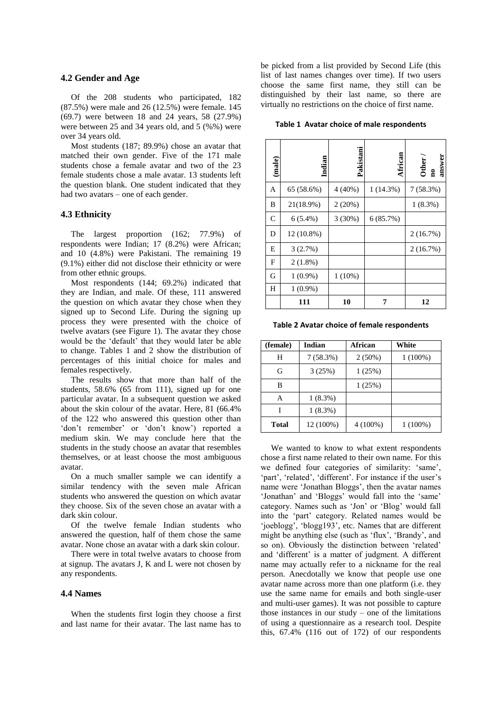### **4.2 Gender and Age**

Of the 208 students who participated, 182 (87.5%) were male and 26 (12.5%) were female. 145 (69.7) were between 18 and 24 years, 58 (27.9%) were between 25 and 34 years old, and 5 (%%) were over 34 years old.

Most students (187; 89.9%) chose an avatar that matched their own gender. Five of the 171 male students chose a female avatar and two of the 23 female students chose a male avatar. 13 students left the question blank. One student indicated that they had two avatars – one of each gender.

#### **4.3 Ethnicity**

The largest proportion (162; 77.9%) of respondents were Indian; 17 (8.2%) were African; and 10 (4.8%) were Pakistani. The remaining 19 (9.1%) either did not disclose their ethnicity or were from other ethnic groups.

Most respondents (144; 69.2%) indicated that they are Indian, and male. Of these, 111 answered the question on which avatar they chose when they signed up to Second Life. During the signing up process they were presented with the choice of twelve avatars (see Figure 1). The avatar they chose would be the 'default' that they would later be able to change. Tables 1 and 2 show the distribution of percentages of this initial choice for males and females respectively.

The results show that more than half of the students, 58.6% (65 from 111), signed up for one particular avatar. In a subsequent question we asked about the skin colour of the avatar. Here, 81 (66.4% of the 122 who answered this question other than 'don't remember' or 'don't know') reported a medium skin. We may conclude here that the students in the study choose an avatar that resembles themselves, or at least choose the most ambiguous avatar.

On a much smaller sample we can identify a similar tendency with the seven male African students who answered the question on which avatar they choose. Six of the seven chose an avatar with a dark skin colour.

Of the twelve female Indian students who answered the question, half of them chose the same avatar. None chose an avatar with a dark skin colour.

There were in total twelve avatars to choose from at signup. The avatars J, K and L were not chosen by any respondents.

#### **4.4 Names**

When the students first login they choose a first and last name for their avatar. The last name has to

be picked from a list provided by Second Life (this list of last names changes over time). If two users choose the same first name, they still can be distinguished by their last name, so there are virtually no restrictions on the choice of first name.

**Table 1 Avatar choice of male respondents**

| (male)       | Indian     | Pakistani | African  | answer<br><b>Other</b><br>$\mathbf{a}$ |
|--------------|------------|-----------|----------|----------------------------------------|
| A            | 65 (58.6%) | $4(40\%)$ | 1(14.3%) | 7(58.3%)                               |
| B            | 21(18.9%)  | 2(20%)    |          | $1(8.3\%)$                             |
| $\mathsf{C}$ | $6(5.4\%)$ | 3(30%)    | 6(85.7%) |                                        |
| D            | 12 (10.8%) |           |          | 2(16.7%)                               |
| Е            | 3(2.7%)    |           |          | 2(16.7%)                               |
| F            | $2(1.8\%)$ |           |          |                                        |
| G            | $1(0.9\%)$ | $1(10\%)$ |          |                                        |
| Н            | $1(0.9\%)$ |           |          |                                        |
|              | 111        | 10        | 7        | 12                                     |

**Table 2 Avatar choice of female respondents**

| (female)     | Indian     | African    | White      |
|--------------|------------|------------|------------|
| н            | 7(58.3%)   | $2(50\%)$  | $1(100\%)$ |
| G            | 3(25%)     | 1(25%)     |            |
| в            |            | 1(25%)     |            |
| A            | $1(8.3\%)$ |            |            |
|              | $1(8.3\%)$ |            |            |
| <b>Total</b> | 12 (100%)  | $4(100\%)$ | $1(100\%)$ |

We wanted to know to what extent respondents chose a first name related to their own name. For this we defined four categories of similarity: 'same', 'part', 'related', 'different'. For instance if the user's name were 'Jonathan Bloggs', then the avatar names 'Jonathan' and 'Bloggs' would fall into the 'same' category. Names such as 'Jon' or 'Blog' would fall into the 'part' category. Related names would be 'joeblogg', 'blogg193', etc. Names that are different might be anything else (such as 'flux', 'Brandy', and so on). Obviously the distinction between 'related' and 'different' is a matter of judgment. A different name may actually refer to a nickname for the real person. Anecdotally we know that people use one avatar name across more than one platform (i.e. they use the same name for emails and both single-user and multi-user games). It was not possible to capture those instances in our study – one of the limitations of using a questionnaire as a research tool. Despite this, 67.4% (116 out of 172) of our respondents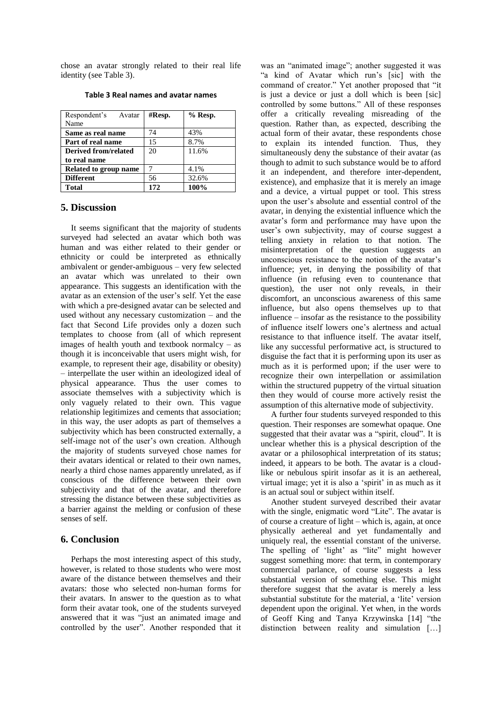chose an avatar strongly related to their real life identity (see Table 3).

| Respondent's Avatar   | $#$ Resp. | $%$ Resp. |
|-----------------------|-----------|-----------|
| Name                  |           |           |
| Same as real name     | 74        | 43%       |
| Part of real name     | 15        | 8.7%      |
| Derived from/related  | 20        | 11.6%     |
| to real name          |           |           |
| Related to group name |           | 4.1%      |
| <b>Different</b>      | 56        | 32.6%     |
| <b>Total</b>          | 172       | 100%      |

**Table 3 Real names and avatar names**

### **5. Discussion**

It seems significant that the majority of students surveyed had selected an avatar which both was human and was either related to their gender or ethnicity or could be interpreted as ethnically ambivalent or gender-ambiguous – very few selected an avatar which was unrelated to their own appearance. This suggests an identification with the avatar as an extension of the user's self. Yet the ease with which a pre-designed avatar can be selected and used without any necessary customization – and the fact that Second Life provides only a dozen such templates to choose from (all of which represent images of health youth and textbook normalcy – as though it is inconceivable that users might wish, for example, to represent their age, disability or obesity) – interpellate the user within an ideologized ideal of physical appearance. Thus the user comes to associate themselves with a subjectivity which is only vaguely related to their own. This vague relationship legitimizes and cements that association; in this way, the user adopts as part of themselves a subjectivity which has been constructed externally, a self-image not of the user's own creation. Although the majority of students surveyed chose names for their avatars identical or related to their own names, nearly a third chose names apparently unrelated, as if conscious of the difference between their own subjectivity and that of the avatar, and therefore stressing the distance between these subjectivities as a barrier against the melding or confusion of these senses of self.

## **6. Conclusion**

Perhaps the most interesting aspect of this study, however, is related to those students who were most aware of the distance between themselves and their avatars: those who selected non-human forms for their avatars. In answer to the question as to what form their avatar took, one of the students surveyed answered that it was "just an animated image and controlled by the user". Another responded that it

was an "animated image"; another suggested it was "a kind of Avatar which run's [sic] with the command of creator." Yet another proposed that "it is just a device or just a doll which is been [sic] controlled by some buttons." All of these responses offer a critically revealing misreading of the question. Rather than, as expected, describing the actual form of their avatar, these respondents chose to explain its intended function. Thus, they simultaneously deny the substance of their avatar (as though to admit to such substance would be to afford it an independent, and therefore inter-dependent, existence), and emphasize that it is merely an image and a device, a virtual puppet or tool. This stress upon the user's absolute and essential control of the avatar, in denying the existential influence which the avatar's form and performance may have upon the user's own subjectivity, may of course suggest a telling anxiety in relation to that notion. The misinterpretation of the question suggests an unconscious resistance to the notion of the avatar's influence; yet, in denying the possibility of that influence (in refusing even to countenance that question), the user not only reveals, in their discomfort, an unconscious awareness of this same influence, but also opens themselves up to that influence – insofar as the resistance to the possibility of influence itself lowers one's alertness and actual resistance to that influence itself. The avatar itself, like any successful performative act, is structured to disguise the fact that it is performing upon its user as much as it is performed upon; if the user were to recognize their own interpellation or assimilation within the structured puppetry of the virtual situation then they would of course more actively resist the assumption of this alternative mode of subjectivity.

A further four students surveyed responded to this question. Their responses are somewhat opaque. One suggested that their avatar was a "spirit, cloud". It is unclear whether this is a physical description of the avatar or a philosophical interpretation of its status; indeed, it appears to be both. The avatar is a cloudlike or nebulous spirit insofar as it is an aethereal, virtual image; yet it is also a 'spirit' in as much as it is an actual soul or subject within itself.

Another student surveyed described their avatar with the single, enigmatic word "Lite". The avatar is of course a creature of light – which is, again, at once physically aethereal and yet fundamentally and uniquely real, the essential constant of the universe. The spelling of 'light' as "lite" might however suggest something more: that term, in contemporary commercial parlance, of course suggests a less substantial version of something else. This might therefore suggest that the avatar is merely a less substantial substitute for the material, a 'lite' version dependent upon the original. Yet when, in the words of Geoff King and Tanya Krzywinska [14] "the distinction between reality and simulation […]